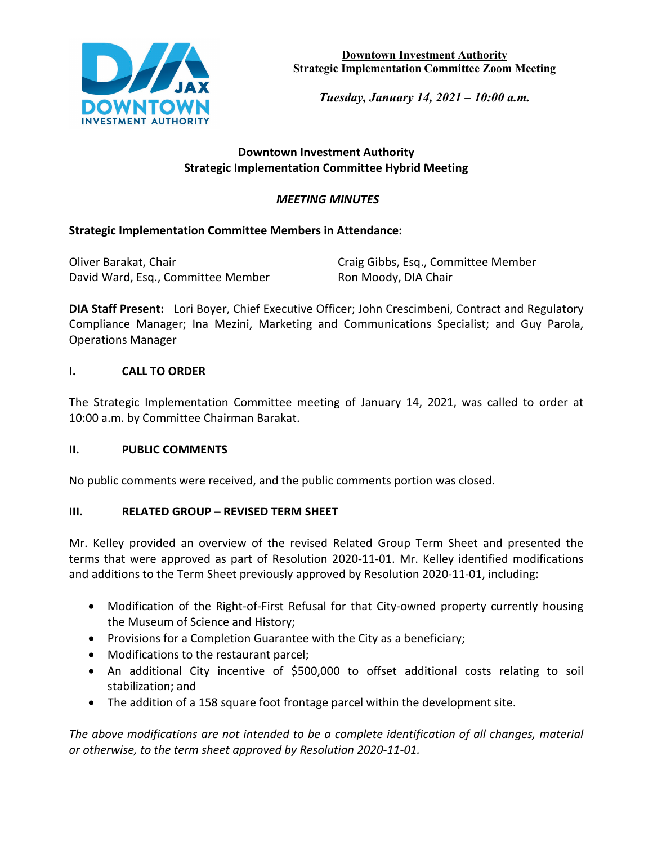

**Downtown Investment Authority Strategic Implementation Committee Zoom Meeting**

*Tuesday, January 14, 2021 – 10:00 a.m.* 

### **Downtown Investment Authority Strategic Implementation Committee Hybrid Meeting**

# *MEETING MINUTES*

### **Strategic Implementation Committee Members in Attendance:**

| Oliver Barakat, Chair              | Craig Gibbs, Esq., Committee Member |
|------------------------------------|-------------------------------------|
| David Ward, Esq., Committee Member | Ron Moody, DIA Chair                |

**DIA Staff Present:** Lori Boyer, Chief Executive Officer; John Crescimbeni, Contract and Regulatory Compliance Manager; Ina Mezini, Marketing and Communications Specialist; and Guy Parola, Operations Manager

### **I. CALL TO ORDER**

The Strategic Implementation Committee meeting of January 14, 2021, was called to order at 10:00 a.m. by Committee Chairman Barakat.

### **II. PUBLIC COMMENTS**

No public comments were received, and the public comments portion was closed.

#### **III. RELATED GROUP – REVISED TERM SHEET**

Mr. Kelley provided an overview of the revised Related Group Term Sheet and presented the terms that were approved as part of Resolution 2020-11-01. Mr. Kelley identified modifications and additions to the Term Sheet previously approved by Resolution 2020-11-01, including:

- Modification of the Right-of-First Refusal for that City-owned property currently housing the Museum of Science and History;
- Provisions for a Completion Guarantee with the City as a beneficiary;
- Modifications to the restaurant parcel;
- An additional City incentive of \$500,000 to offset additional costs relating to soil stabilization; and
- The addition of a 158 square foot frontage parcel within the development site.

*The above modifications are not intended to be a complete identification of all changes, material or otherwise, to the term sheet approved by Resolution 2020-11-01.*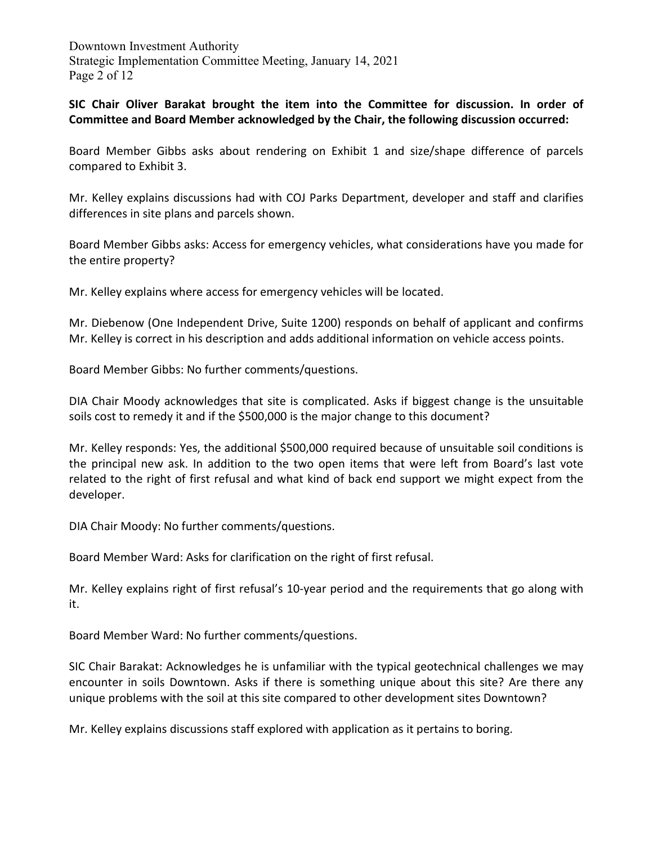Downtown Investment Authority Strategic Implementation Committee Meeting, January 14, 2021 Page 2 of 12

**SIC Chair Oliver Barakat brought the item into the Committee for discussion. In order of Committee and Board Member acknowledged by the Chair, the following discussion occurred:** 

Board Member Gibbs asks about rendering on Exhibit 1 and size/shape difference of parcels compared to Exhibit 3.

Mr. Kelley explains discussions had with COJ Parks Department, developer and staff and clarifies differences in site plans and parcels shown.

Board Member Gibbs asks: Access for emergency vehicles, what considerations have you made for the entire property?

Mr. Kelley explains where access for emergency vehicles will be located.

Mr. Diebenow (One Independent Drive, Suite 1200) responds on behalf of applicant and confirms Mr. Kelley is correct in his description and adds additional information on vehicle access points.

Board Member Gibbs: No further comments/questions.

DIA Chair Moody acknowledges that site is complicated. Asks if biggest change is the unsuitable soils cost to remedy it and if the \$500,000 is the major change to this document?

Mr. Kelley responds: Yes, the additional \$500,000 required because of unsuitable soil conditions is the principal new ask. In addition to the two open items that were left from Board's last vote related to the right of first refusal and what kind of back end support we might expect from the developer.

DIA Chair Moody: No further comments/questions.

Board Member Ward: Asks for clarification on the right of first refusal.

Mr. Kelley explains right of first refusal's 10-year period and the requirements that go along with it.

Board Member Ward: No further comments/questions.

SIC Chair Barakat: Acknowledges he is unfamiliar with the typical geotechnical challenges we may encounter in soils Downtown. Asks if there is something unique about this site? Are there any unique problems with the soil at this site compared to other development sites Downtown?

Mr. Kelley explains discussions staff explored with application as it pertains to boring.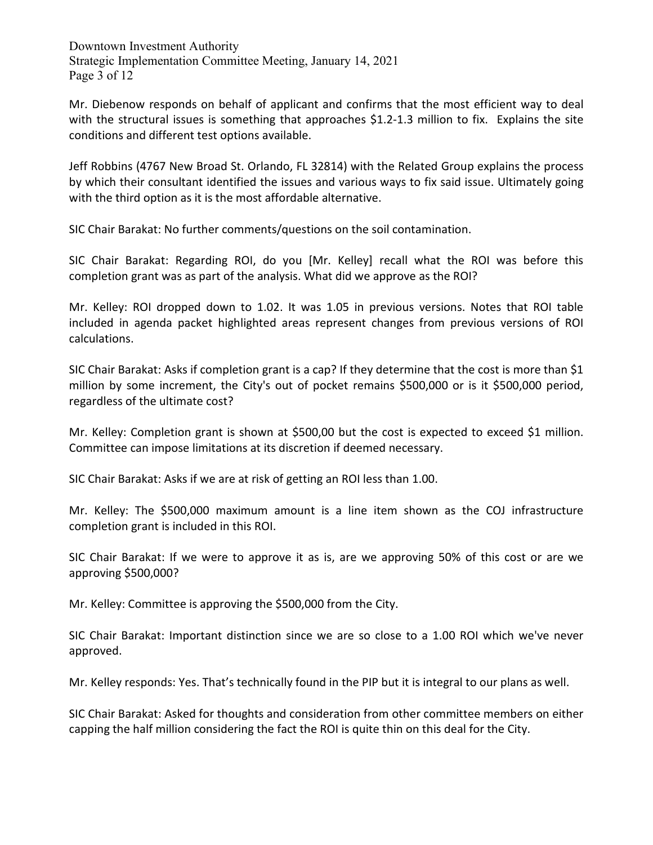Downtown Investment Authority Strategic Implementation Committee Meeting, January 14, 2021 Page 3 of 12

Mr. Diebenow responds on behalf of applicant and confirms that the most efficient way to deal with the structural issues is something that approaches \$1.2-1.3 million to fix. Explains the site conditions and different test options available.

Jeff Robbins (4767 New Broad St. Orlando, FL 32814) with the Related Group explains the process by which their consultant identified the issues and various ways to fix said issue. Ultimately going with the third option as it is the most affordable alternative.

SIC Chair Barakat: No further comments/questions on the soil contamination.

SIC Chair Barakat: Regarding ROI, do you [Mr. Kelley] recall what the ROI was before this completion grant was as part of the analysis. What did we approve as the ROI?

Mr. Kelley: ROI dropped down to 1.02. It was 1.05 in previous versions. Notes that ROI table included in agenda packet highlighted areas represent changes from previous versions of ROI calculations.

SIC Chair Barakat: Asks if completion grant is a cap? If they determine that the cost is more than \$1 million by some increment, the City's out of pocket remains \$500,000 or is it \$500,000 period, regardless of the ultimate cost?

Mr. Kelley: Completion grant is shown at \$500,00 but the cost is expected to exceed \$1 million. Committee can impose limitations at its discretion if deemed necessary.

SIC Chair Barakat: Asks if we are at risk of getting an ROI less than 1.00.

Mr. Kelley: The \$500,000 maximum amount is a line item shown as the COJ infrastructure completion grant is included in this ROI.

SIC Chair Barakat: If we were to approve it as is, are we approving 50% of this cost or are we approving \$500,000?

Mr. Kelley: Committee is approving the \$500,000 from the City.

SIC Chair Barakat: Important distinction since we are so close to a 1.00 ROI which we've never approved.

Mr. Kelley responds: Yes. That's technically found in the PIP but it is integral to our plans as well.

SIC Chair Barakat: Asked for thoughts and consideration from other committee members on either capping the half million considering the fact the ROI is quite thin on this deal for the City.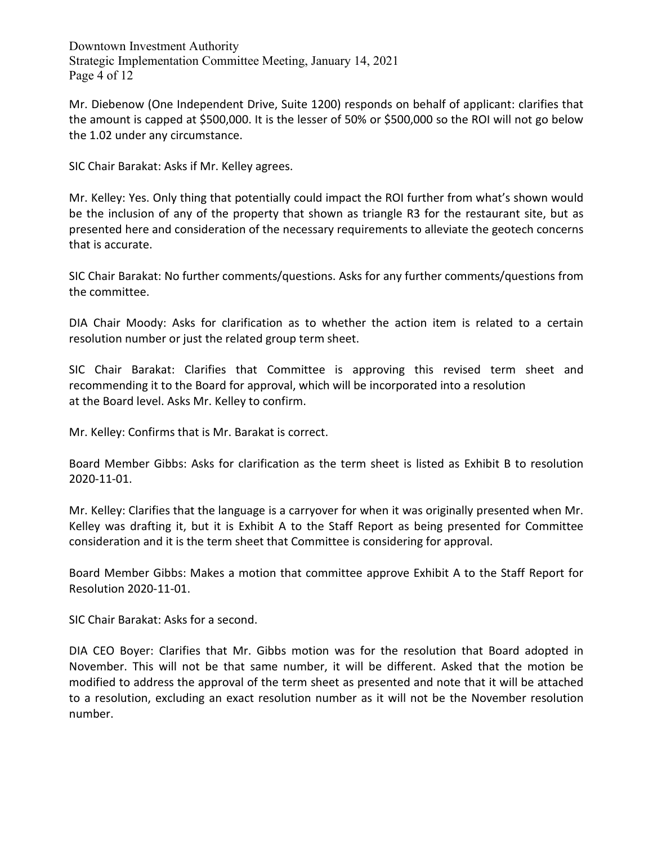Downtown Investment Authority Strategic Implementation Committee Meeting, January 14, 2021 Page 4 of 12

Mr. Diebenow (One Independent Drive, Suite 1200) responds on behalf of applicant: clarifies that the amount is capped at \$500,000. It is the lesser of 50% or \$500,000 so the ROI will not go below the 1.02 under any circumstance.

SIC Chair Barakat: Asks if Mr. Kelley agrees.

Mr. Kelley: Yes. Only thing that potentially could impact the ROI further from what's shown would be the inclusion of any of the property that shown as triangle R3 for the restaurant site, but as presented here and consideration of the necessary requirements to alleviate the geotech concerns that is accurate.

SIC Chair Barakat: No further comments/questions. Asks for any further comments/questions from the committee.

DIA Chair Moody: Asks for clarification as to whether the action item is related to a certain resolution number or just the related group term sheet.

SIC Chair Barakat: Clarifies that Committee is approving this revised term sheet and recommending it to the Board for approval, which will be incorporated into a resolution at the Board level. Asks Mr. Kelley to confirm.

Mr. Kelley: Confirms that is Mr. Barakat is correct.

Board Member Gibbs: Asks for clarification as the term sheet is listed as Exhibit B to resolution 2020-11-01.

Mr. Kelley: Clarifies that the language is a carryover for when it was originally presented when Mr. Kelley was drafting it, but it is Exhibit A to the Staff Report as being presented for Committee consideration and it is the term sheet that Committee is considering for approval.

Board Member Gibbs: Makes a motion that committee approve Exhibit A to the Staff Report for Resolution 2020-11-01.

SIC Chair Barakat: Asks for a second.

DIA CEO Boyer: Clarifies that Mr. Gibbs motion was for the resolution that Board adopted in November. This will not be that same number, it will be different. Asked that the motion be modified to address the approval of the term sheet as presented and note that it will be attached to a resolution, excluding an exact resolution number as it will not be the November resolution number.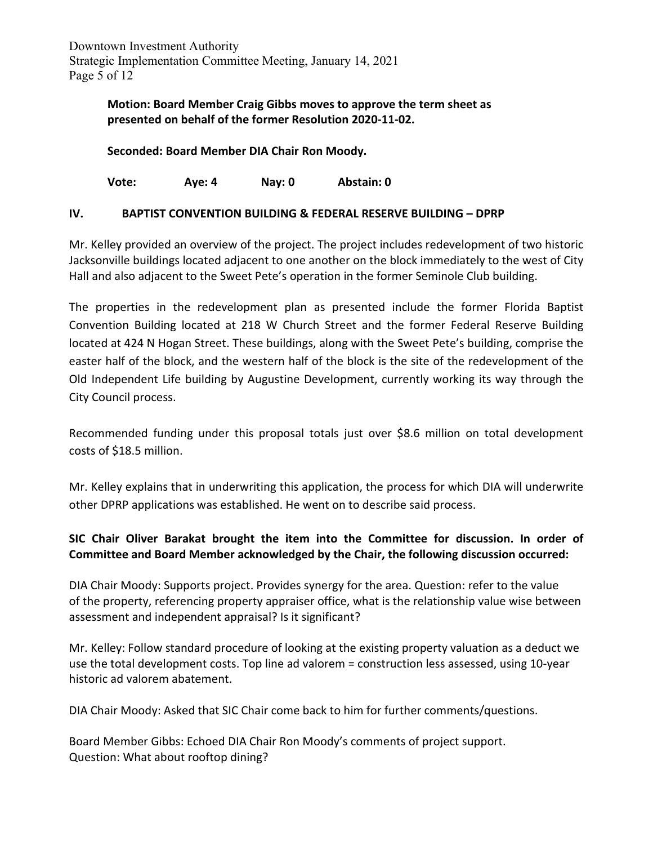# **Motion: Board Member Craig Gibbs moves to approve the term sheet as presented on behalf of the former Resolution 2020-11-02.**

**Seconded: Board Member DIA Chair Ron Moody.** 

**Vote: Aye: 4 Nay: 0 Abstain: 0**

### **IV. BAPTIST CONVENTION BUILDING & FEDERAL RESERVE BUILDING – DPRP**

Mr. Kelley provided an overview of the project. The project includes redevelopment of two historic Jacksonville buildings located adjacent to one another on the block immediately to the west of City Hall and also adjacent to the Sweet Pete's operation in the former Seminole Club building.

The properties in the redevelopment plan as presented include the former Florida Baptist Convention Building located at 218 W Church Street and the former Federal Reserve Building located at 424 N Hogan Street. These buildings, along with the Sweet Pete's building, comprise the easter half of the block, and the western half of the block is the site of the redevelopment of the Old Independent Life building by Augustine Development, currently working its way through the City Council process.

Recommended funding under this proposal totals just over \$8.6 million on total development costs of \$18.5 million.

Mr. Kelley explains that in underwriting this application, the process for which DIA will underwrite other DPRP applications was established. He went on to describe said process.

## **SIC Chair Oliver Barakat brought the item into the Committee for discussion. In order of Committee and Board Member acknowledged by the Chair, the following discussion occurred:**

DIA Chair Moody: Supports project. Provides synergy for the area. Question: refer to the value of the property, referencing property appraiser office, what is the relationship value wise between assessment and independent appraisal? Is it significant?

Mr. Kelley: Follow standard procedure of looking at the existing property valuation as a deduct we use the total development costs. Top line ad valorem = construction less assessed, using 10-year historic ad valorem abatement.

DIA Chair Moody: Asked that SIC Chair come back to him for further comments/questions.

Board Member Gibbs: Echoed DIA Chair Ron Moody's comments of project support. Question: What about rooftop dining?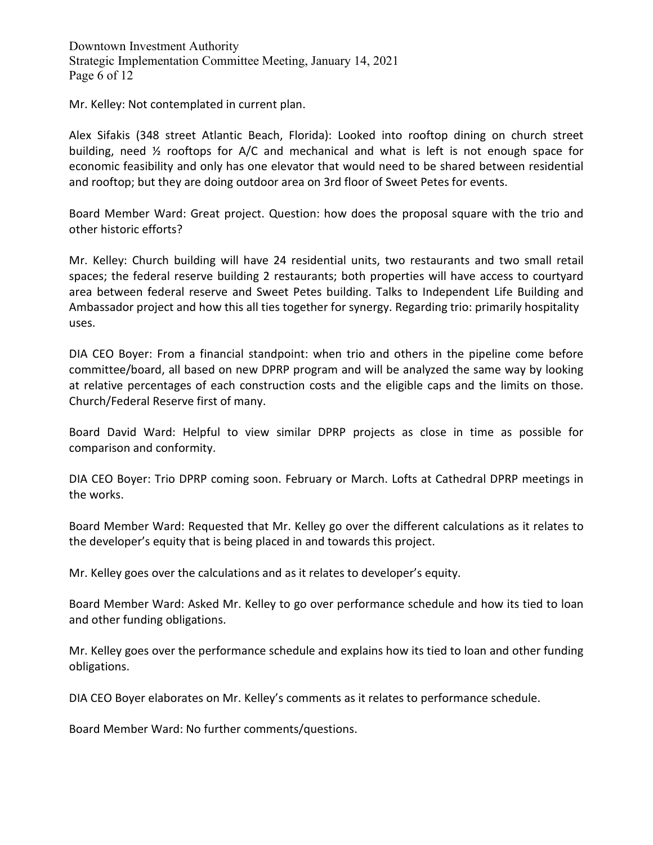Downtown Investment Authority Strategic Implementation Committee Meeting, January 14, 2021 Page 6 of 12

Mr. Kelley: Not contemplated in current plan.

Alex Sifakis (348 street Atlantic Beach, Florida): Looked into rooftop dining on church street building, need ½ rooftops for A/C and mechanical and what is left is not enough space for economic feasibility and only has one elevator that would need to be shared between residential and rooftop; but they are doing outdoor area on 3rd floor of Sweet Petes for events.

Board Member Ward: Great project. Question: how does the proposal square with the trio and other historic efforts?

Mr. Kelley: Church building will have 24 residential units, two restaurants and two small retail spaces; the federal reserve building 2 restaurants; both properties will have access to courtyard area between federal reserve and Sweet Petes building. Talks to Independent Life Building and Ambassador project and how this all ties together for synergy. Regarding trio: primarily hospitality uses.

DIA CEO Boyer: From a financial standpoint: when trio and others in the pipeline come before committee/board, all based on new DPRP program and will be analyzed the same way by looking at relative percentages of each construction costs and the eligible caps and the limits on those. Church/Federal Reserve first of many.

Board David Ward: Helpful to view similar DPRP projects as close in time as possible for comparison and conformity.

DIA CEO Boyer: Trio DPRP coming soon. February or March. Lofts at Cathedral DPRP meetings in the works.

Board Member Ward: Requested that Mr. Kelley go over the different calculations as it relates to the developer's equity that is being placed in and towards this project.

Mr. Kelley goes over the calculations and as it relates to developer's equity.

Board Member Ward: Asked Mr. Kelley to go over performance schedule and how its tied to loan and other funding obligations.

Mr. Kelley goes over the performance schedule and explains how its tied to loan and other funding obligations.

DIA CEO Boyer elaborates on Mr. Kelley's comments as it relates to performance schedule.

Board Member Ward: No further comments/questions.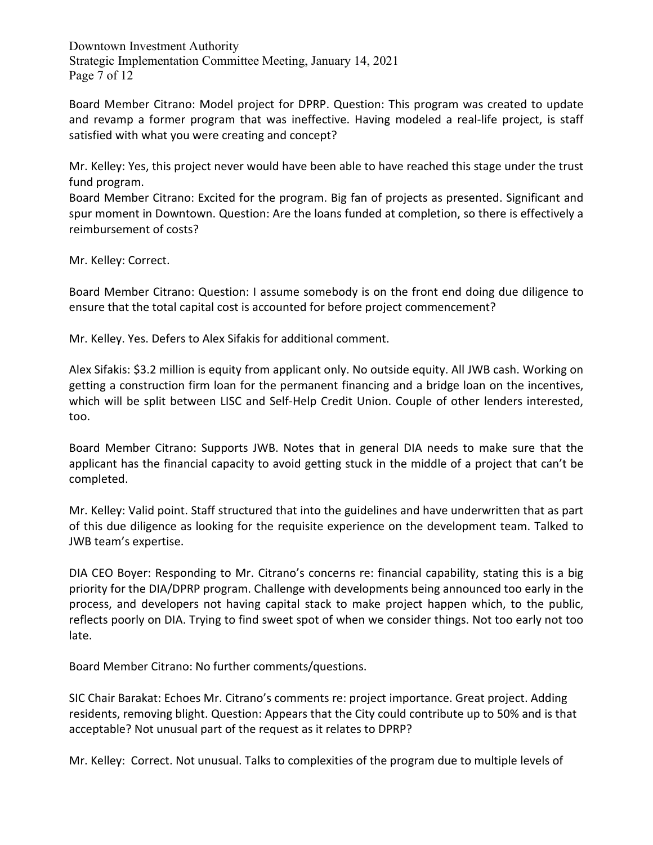Downtown Investment Authority Strategic Implementation Committee Meeting, January 14, 2021 Page 7 of 12

Board Member Citrano: Model project for DPRP. Question: This program was created to update and revamp a former program that was ineffective. Having modeled a real-life project, is staff satisfied with what you were creating and concept?

Mr. Kelley: Yes, this project never would have been able to have reached this stage under the trust fund program.

Board Member Citrano: Excited for the program. Big fan of projects as presented. Significant and spur moment in Downtown. Question: Are the loans funded at completion, so there is effectively a reimbursement of costs?

Mr. Kelley: Correct.

Board Member Citrano: Question: I assume somebody is on the front end doing due diligence to ensure that the total capital cost is accounted for before project commencement?

Mr. Kelley. Yes. Defers to Alex Sifakis for additional comment.

Alex Sifakis: \$3.2 million is equity from applicant only. No outside equity. All JWB cash. Working on getting a construction firm loan for the permanent financing and a bridge loan on the incentives, which will be split between LISC and Self-Help Credit Union. Couple of other lenders interested, too.

Board Member Citrano: Supports JWB. Notes that in general DIA needs to make sure that the applicant has the financial capacity to avoid getting stuck in the middle of a project that can't be completed.

Mr. Kelley: Valid point. Staff structured that into the guidelines and have underwritten that as part of this due diligence as looking for the requisite experience on the development team. Talked to JWB team's expertise.

DIA CEO Boyer: Responding to Mr. Citrano's concerns re: financial capability, stating this is a big priority for the DIA/DPRP program. Challenge with developments being announced too early in the process, and developers not having capital stack to make project happen which, to the public, reflects poorly on DIA. Trying to find sweet spot of when we consider things. Not too early not too late.

Board Member Citrano: No further comments/questions.

SIC Chair Barakat: Echoes Mr. Citrano's comments re: project importance. Great project. Adding residents, removing blight. Question: Appears that the City could contribute up to 50% and is that acceptable? Not unusual part of the request as it relates to DPRP?

Mr. Kelley: Correct. Not unusual. Talks to complexities of the program due to multiple levels of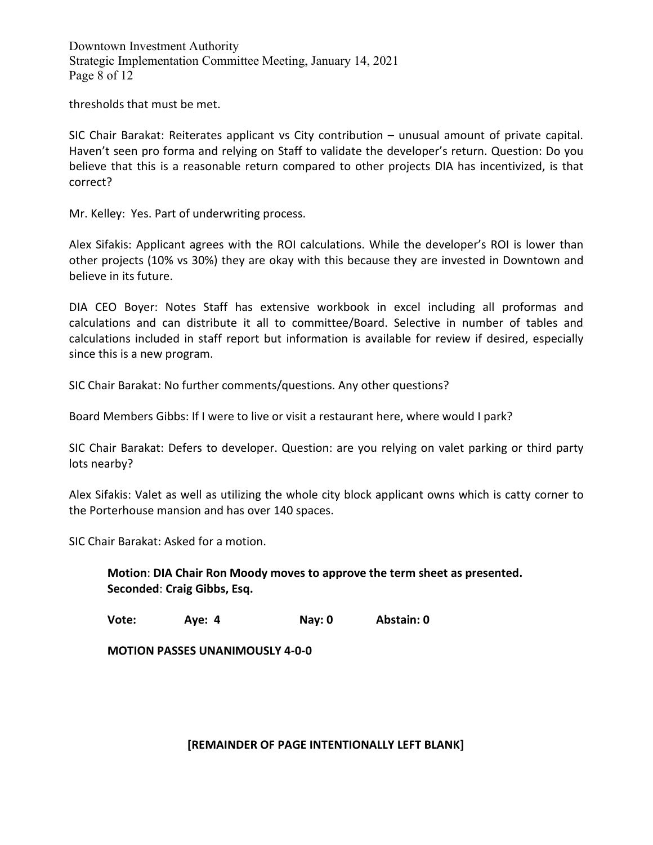Downtown Investment Authority Strategic Implementation Committee Meeting, January 14, 2021 Page 8 of 12

thresholds that must be met.

SIC Chair Barakat: Reiterates applicant vs City contribution – unusual amount of private capital. Haven't seen pro forma and relying on Staff to validate the developer's return. Question: Do you believe that this is a reasonable return compared to other projects DIA has incentivized, is that correct?

Mr. Kelley: Yes. Part of underwriting process.

Alex Sifakis: Applicant agrees with the ROI calculations. While the developer's ROI is lower than other projects (10% vs 30%) they are okay with this because they are invested in Downtown and believe in its future.

DIA CEO Boyer: Notes Staff has extensive workbook in excel including all proformas and calculations and can distribute it all to committee/Board. Selective in number of tables and calculations included in staff report but information is available for review if desired, especially since this is a new program.

SIC Chair Barakat: No further comments/questions. Any other questions?

Board Members Gibbs: If I were to live or visit a restaurant here, where would I park?

SIC Chair Barakat: Defers to developer. Question: are you relying on valet parking or third party lots nearby?

Alex Sifakis: Valet as well as utilizing the whole city block applicant owns which is catty corner to the Porterhouse mansion and has over 140 spaces.

SIC Chair Barakat: Asked for a motion.

**Motion**: **DIA Chair Ron Moody moves to approve the term sheet as presented. Seconded**: **Craig Gibbs, Esq.**

**Vote: Aye: 4 Nay: 0 Abstain: 0**

**MOTION PASSES UNANIMOUSLY 4-0-0**

**[REMAINDER OF PAGE INTENTIONALLY LEFT BLANK]**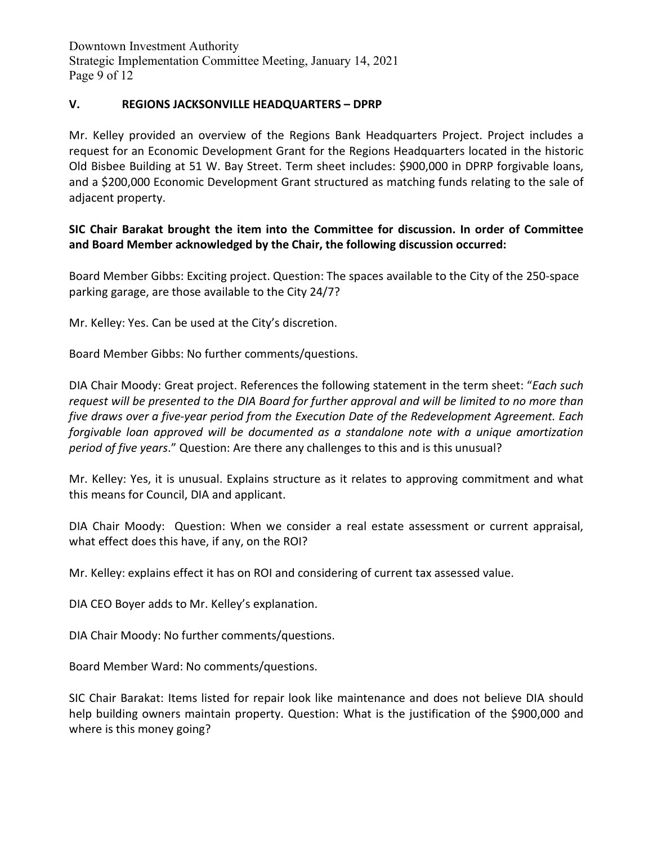Downtown Investment Authority Strategic Implementation Committee Meeting, January 14, 2021 Page 9 of 12

#### **V. REGIONS JACKSONVILLE HEADQUARTERS – DPRP**

Mr. Kelley provided an overview of the Regions Bank Headquarters Project. Project includes a request for an Economic Development Grant for the Regions Headquarters located in the historic Old Bisbee Building at 51 W. Bay Street. Term sheet includes: \$900,000 in DPRP forgivable loans, and a \$200,000 Economic Development Grant structured as matching funds relating to the sale of adjacent property.

#### **SIC Chair Barakat brought the item into the Committee for discussion. In order of Committee and Board Member acknowledged by the Chair, the following discussion occurred:**

Board Member Gibbs: Exciting project. Question: The spaces available to the City of the 250-space parking garage, are those available to the City 24/7?

Mr. Kelley: Yes. Can be used at the City's discretion.

Board Member Gibbs: No further comments/questions.

DIA Chair Moody: Great project. References the following statement in the term sheet: "*Each such request will be presented to the DIA Board for further approval and will be limited to no more than five draws over a five-year period from the Execution Date of the Redevelopment Agreement. Each forgivable loan approved will be documented as a standalone note with a unique amortization period of five years*." Question: Are there any challenges to this and is this unusual?

Mr. Kelley: Yes, it is unusual. Explains structure as it relates to approving commitment and what this means for Council, DIA and applicant.

DIA Chair Moody: Question: When we consider a real estate assessment or current appraisal, what effect does this have, if any, on the ROI?

Mr. Kelley: explains effect it has on ROI and considering of current tax assessed value.

DIA CEO Boyer adds to Mr. Kelley's explanation.

DIA Chair Moody: No further comments/questions.

Board Member Ward: No comments/questions.

SIC Chair Barakat: Items listed for repair look like maintenance and does not believe DIA should help building owners maintain property. Question: What is the justification of the \$900,000 and where is this money going?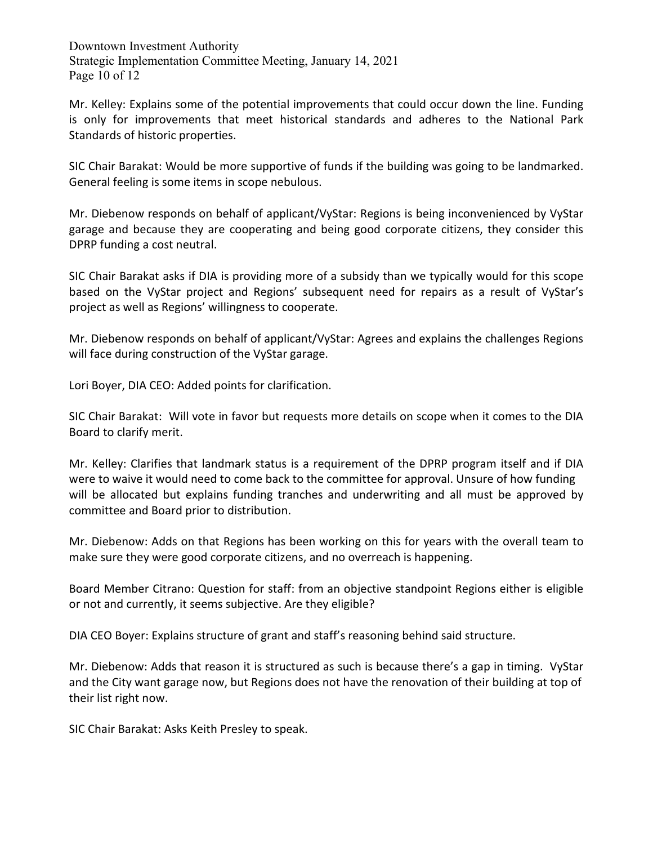Downtown Investment Authority Strategic Implementation Committee Meeting, January 14, 2021 Page 10 of 12

Mr. Kelley: Explains some of the potential improvements that could occur down the line. Funding is only for improvements that meet historical standards and adheres to the National Park Standards of historic properties.

SIC Chair Barakat: Would be more supportive of funds if the building was going to be landmarked. General feeling is some items in scope nebulous.

Mr. Diebenow responds on behalf of applicant/VyStar: Regions is being inconvenienced by VyStar garage and because they are cooperating and being good corporate citizens, they consider this DPRP funding a cost neutral.

SIC Chair Barakat asks if DIA is providing more of a subsidy than we typically would for this scope based on the VyStar project and Regions' subsequent need for repairs as a result of VyStar's project as well as Regions' willingness to cooperate.

Mr. Diebenow responds on behalf of applicant/VyStar: Agrees and explains the challenges Regions will face during construction of the VyStar garage.

Lori Boyer, DIA CEO: Added points for clarification.

SIC Chair Barakat: Will vote in favor but requests more details on scope when it comes to the DIA Board to clarify merit.

Mr. Kelley: Clarifies that landmark status is a requirement of the DPRP program itself and if DIA were to waive it would need to come back to the committee for approval. Unsure of how funding will be allocated but explains funding tranches and underwriting and all must be approved by committee and Board prior to distribution.

Mr. Diebenow: Adds on that Regions has been working on this for years with the overall team to make sure they were good corporate citizens, and no overreach is happening.

Board Member Citrano: Question for staff: from an objective standpoint Regions either is eligible or not and currently, it seems subjective. Are they eligible?

DIA CEO Boyer: Explains structure of grant and staff's reasoning behind said structure.

Mr. Diebenow: Adds that reason it is structured as such is because there's a gap in timing. VyStar and the City want garage now, but Regions does not have the renovation of their building at top of their list right now.

SIC Chair Barakat: Asks Keith Presley to speak.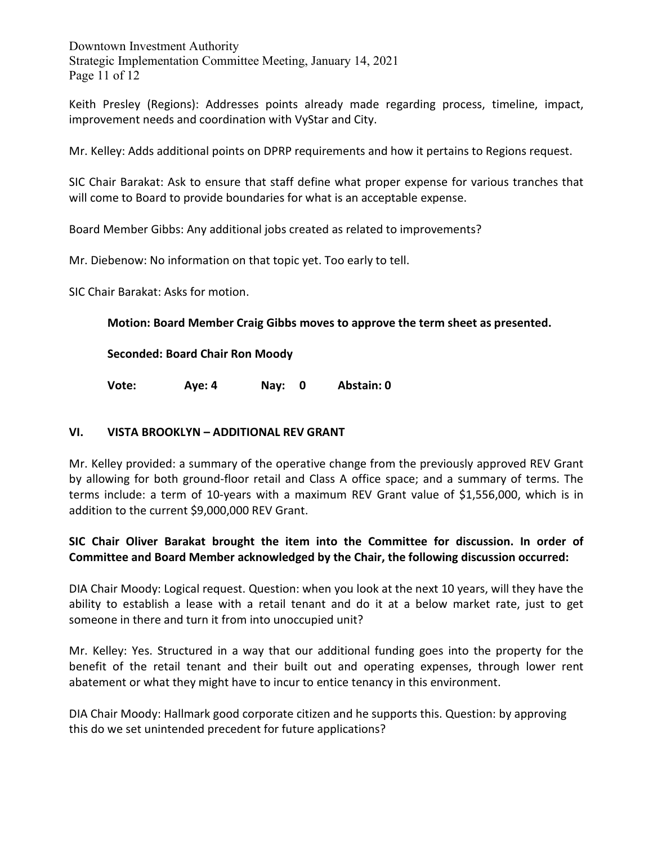Downtown Investment Authority Strategic Implementation Committee Meeting, January 14, 2021 Page 11 of 12

Keith Presley (Regions): Addresses points already made regarding process, timeline, impact, improvement needs and coordination with VyStar and City.

Mr. Kelley: Adds additional points on DPRP requirements and how it pertains to Regions request.

SIC Chair Barakat: Ask to ensure that staff define what proper expense for various tranches that will come to Board to provide boundaries for what is an acceptable expense.

Board Member Gibbs: Any additional jobs created as related to improvements?

Mr. Diebenow: No information on that topic yet. Too early to tell.

SIC Chair Barakat: Asks for motion.

**Motion: Board Member Craig Gibbs moves to approve the term sheet as presented.** 

**Seconded: Board Chair Ron Moody** 

**Vote: Aye: 4 Nay: 0 Abstain: 0**

#### **VI. VISTA BROOKLYN – ADDITIONAL REV GRANT**

Mr. Kelley provided: a summary of the operative change from the previously approved REV Grant by allowing for both ground-floor retail and Class A office space; and a summary of terms. The terms include: a term of 10-years with a maximum REV Grant value of \$1,556,000, which is in addition to the current \$9,000,000 REV Grant.

**SIC Chair Oliver Barakat brought the item into the Committee for discussion. In order of Committee and Board Member acknowledged by the Chair, the following discussion occurred:** 

DIA Chair Moody: Logical request. Question: when you look at the next 10 years, will they have the ability to establish a lease with a retail tenant and do it at a below market rate, just to get someone in there and turn it from into unoccupied unit?

Mr. Kelley: Yes. Structured in a way that our additional funding goes into the property for the benefit of the retail tenant and their built out and operating expenses, through lower rent abatement or what they might have to incur to entice tenancy in this environment.

DIA Chair Moody: Hallmark good corporate citizen and he supports this. Question: by approving this do we set unintended precedent for future applications?